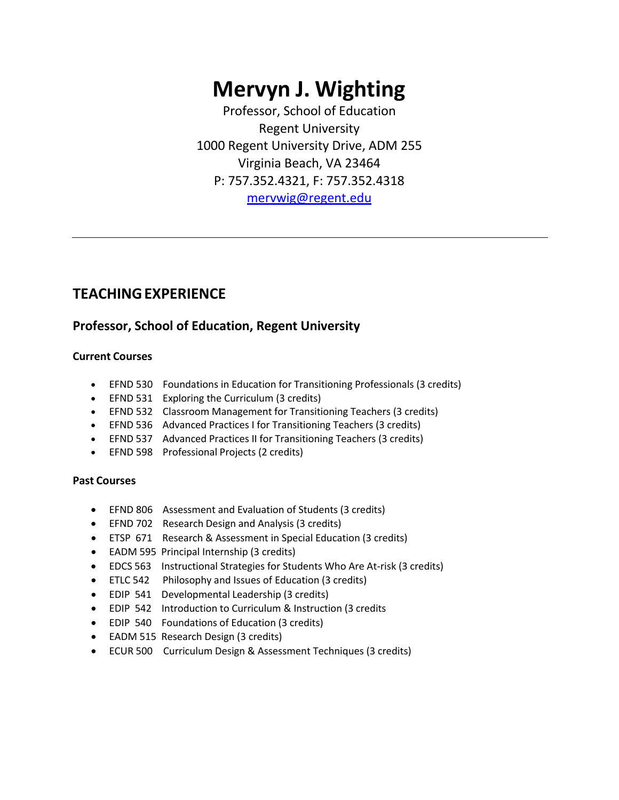# **Mervyn J. Wighting**

Professor, School of Education Regent University 1000 Regent University Drive, ADM 255 Virginia Beach, VA 23464 P: 757.352.4321, F: 757.352.4318 [mervwig@regent.edu](mailto:jasobak@regent.edu)

## **TEACHINGEXPERIENCE**

#### **Professor, School of Education, Regent University**

#### **Current Courses**

- EFND 530 Foundations in Education for Transitioning Professionals (3 credits)
- EFND 531 Exploring the Curriculum (3 credits)
- EFND 532 Classroom Management for Transitioning Teachers (3 credits)
- EFND 536 Advanced Practices I for Transitioning Teachers (3 credits)
- EFND 537 Advanced Practices II for Transitioning Teachers (3 credits)
- EFND 598 Professional Projects (2 credits)

#### **Past Courses**

- EFND 806 Assessment and Evaluation of Students (3 credits)
- EFND 702 Research Design and Analysis (3 credits)
- ETSP 671 Research & Assessment in Special Education (3 credits)
- EADM 595 Principal Internship (3 credits)
- EDCS 563 Instructional Strategies for Students Who Are At-risk (3 credits)
- ETLC 542 Philosophy and Issues of Education (3 credits)
- EDIP 541 Developmental Leadership (3 credits)
- EDIP 542 Introduction to Curriculum & Instruction (3 credits
- EDIP 540 Foundations of Education (3 credits)
- EADM 515 Research Design (3 credits)
- ECUR 500 Curriculum Design & Assessment Techniques (3 credits)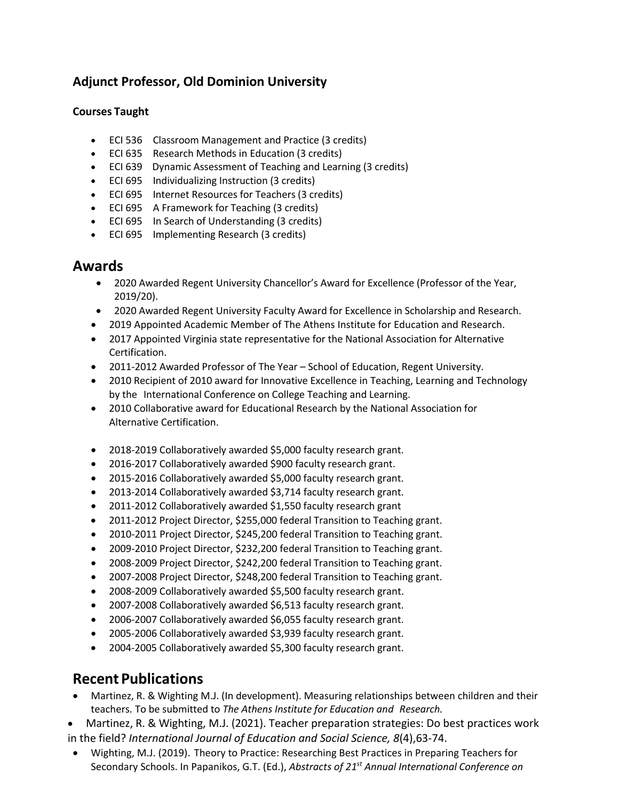## **Adjunct Professor, Old Dominion University**

#### **Courses Taught**

- ECI 536 Classroom Management and Practice (3 credits)
- ECI 635 Research Methods in Education (3 credits)
- ECI 639 Dynamic Assessment of Teaching and Learning (3 credits)
- ECI 695 Individualizing Instruction (3 credits)
- ECI 695 Internet Resources for Teachers (3 credits)
- ECI 695 A Framework for Teaching (3 credits)
- ECI 695 In Search of Understanding (3 credits)
- ECI 695 Implementing Research (3 credits)

### **Awards**

- 2020 Awarded Regent University Chancellor's Award for Excellence (Professor of the Year, 2019/20).
- 2020 Awarded Regent University Faculty Award for Excellence in Scholarship and Research.
- 2019 Appointed Academic Member of The Athens Institute for Education and Research.
- 2017 Appointed Virginia state representative for the National Association for Alternative Certification.
- 2011-2012 Awarded Professor of The Year School of Education, Regent University.
- 2010 Recipient of 2010 award for Innovative Excellence in Teaching, Learning and Technology by the International Conference on College Teaching and Learning.
- 2010 Collaborative award for Educational Research by the National Association for Alternative Certification.
- 2018-2019 Collaboratively awarded \$5,000 faculty research grant.
- 2016-2017 Collaboratively awarded \$900 faculty research grant.
- 2015-2016 Collaboratively awarded \$5,000 faculty research grant.
- 2013-2014 Collaboratively awarded \$3,714 faculty research grant.
- 2011-2012 Collaboratively awarded \$1,550 faculty research grant
- 2011-2012 Project Director, \$255,000 federal Transition to Teaching grant.
- 2010-2011 Project Director, \$245,200 federal Transition to Teaching grant.
- 2009-2010 Project Director, \$232,200 federal Transition to Teaching grant.
- 2008-2009 Project Director, \$242,200 federal Transition to Teaching grant.
- 2007-2008 Project Director, \$248,200 federal Transition to Teaching grant.
- 2008-2009 Collaboratively awarded \$5,500 faculty research grant.
- 2007-2008 Collaboratively awarded \$6,513 faculty research grant.
- 2006-2007 Collaboratively awarded \$6,055 faculty research grant.
- 2005-2006 Collaboratively awarded \$3,939 faculty research grant.
- 2004-2005 Collaboratively awarded \$5,300 faculty research grant.

# **Recent Publications**

- Martinez, R. & Wighting M.J. (In development). Measuring relationships between children and their teachers*.* To be submitted to *The Athens Institute for Education and Research.*
- Martinez, R. & Wighting, M.J. (2021). Teacher preparation strategies: Do best practices work in the field? *International Journal of Education and Social Science, 8*(4),63-74.
- Wighting, M.J. (2019). Theory to Practice: Researching Best Practices in Preparing Teachers for Secondary Schools. In Papanikos, G.T. (Ed.), *Abstracts of 21st Annual International Conference on*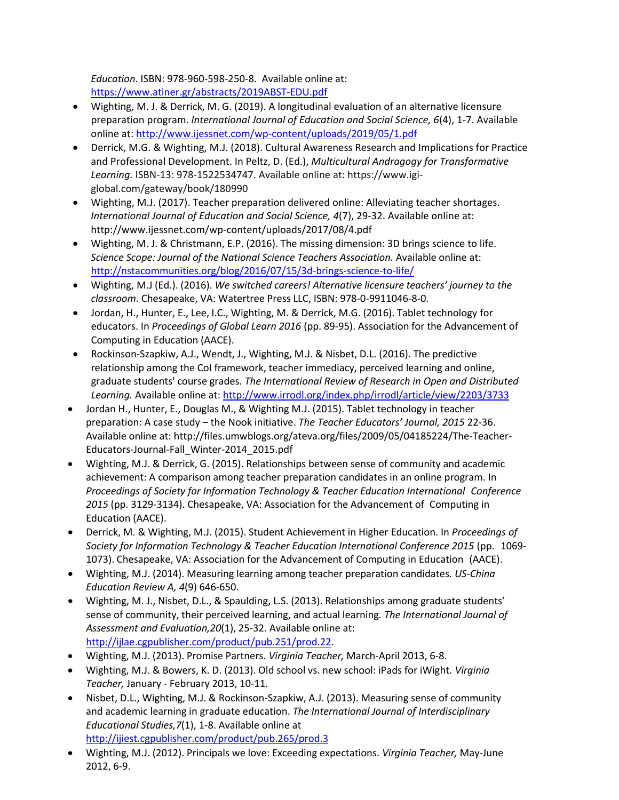*Education*. ISBN: 978-960-598-250-8. Available online at: <https://www.atiner.gr/abstracts/2019ABST-EDU.pdf>

- Wighting, M. J. & Derrick, M. G. (2019). A longitudinal evaluation of an alternative licensure preparation program. *International Journal of Education and Social Science, 6*(4), 1-7. Available online at:<http://www.ijessnet.com/wp-content/uploads/2019/05/1.pdf>
- Derrick, M.G. & Wighting, M.J. (2018). Cultural Awareness Research and Implications for Practice and Professional Development. In Peltz, D. (Ed.), *Multicultural Andragogy for Transformative Learning.* ISBN-13: 978-1522534747. Available online at: https://www.igiglobal.com/gateway/book/180990
- Wighting, M.J. (2017). Teacher preparation delivered online: Alleviating teacher shortages. *International Journal of Education and Social Science, 4*(7), 29-32. Available online at: http://www.ijessnet.com/wp-content/uploads/2017/08/4.pdf
- Wighting, M. J. & Christmann, E.P. (2016). The missing dimension: 3D brings science to life. *Science Scope: Journal of the National Science Teachers Association.* Available online at: <http://nstacommunities.org/blog/2016/07/15/3d-brings-science-to-life/>
- Wighting, M.J (Ed.). (2016). *We switched careers! Alternative licensure teachers' journey to the classroom*. Chesapeake, VA: Watertree Press LLC, ISBN: 978-0-9911046-8-0.
- Jordan, H., Hunter, E., Lee, I.C., Wighting, M. & Derrick, M.G. (2016). Tablet technology for educators. In *Proceedings of Global Learn 2016* (pp. 89-95). Association for the Advancement of Computing in Education (AACE).
- Rockinson-Szapkiw, A.J., Wendt, J., Wighting, M.J. & Nisbet, D.L. (2016). The predictive relationship among the CoI framework, teacher immediacy, perceived learning and online, graduate students' course grades*. The International Review of Research in Open and Distributed Learning.* Available online at: <http://www.irrodl.org/index.php/irrodl/article/view/2203/3733>
- Jordan H., Hunter, E., Douglas M., & Wighting M.J. (2015). Tablet technology in teacher preparation: A case study – the Nook initiative. *The Teacher Educators' Journal, 2015* 22-36. Available online at: <http://files.umwblogs.org/ateva.org/files/2009/05/04185224/The-Teacher->Educators-Journal-Fall\_Winter-2014\_2015.pdf
- Wighting, M.J. & Derrick, G. (2015). Relationships between sense of community and academic achievement: A comparison among teacher preparation candidates in an online program. In *Proceedings of Society for Information Technology & Teacher Education International Conference 2015* (pp. 3129-3134). Chesapeake, VA: Association for the Advancement of Computing in Education (AACE).
- Derrick, M. & Wighting, M.J. (2015). Student Achievement in Higher Education. In *Proceedings of Society for Information Technology & Teacher Education International Conference 2015* (pp. 1069- 1073). Chesapeake, VA: Association for the Advancement of Computing in Education (AACE).
- Wighting, M.J. (2014). Measuring learning among teacher preparation candidates*. US-China Education Review A, 4*(9) 646-650.
- Wighting, M. J., Nisbet, D.L., & Spaulding, L.S. (2013). Relationships among graduate students' sense of community, their perceived learning, and actual learning*. The International Journal of Assessment and Evaluation,20*(1), 25-32. Available online at: [http://ijlae.cgpublisher.com/product/pub.251/prod.22.](http://ijlae.cgpublisher.com/product/pub.251/prod.22)
- Wighting, M.J. (2013). Promise Partners. *Virginia Teacher,* March-April 2013, 6-8.
- Wighting, M.J. & Bowers, K. D. (2013). Old school vs. new school: iPads for iWight. *Virginia Teacher,* January - February 2013, 10-11.
- Nisbet, D.L., Wighting, M.J. & Rockinson-Szapkiw, A.J. (2013). Measuring sense of community and academic learning in graduate education. *The International Journal of Interdisciplinary Educational Studies,7*(1), 1-8. Available online at <http://ijiest.cgpublisher.com/product/pub.265/prod.3>
- Wighting, M.J. (2012). Principals we love: Exceeding expectations. *Virginia Teacher,* May-June 2012, 6-9.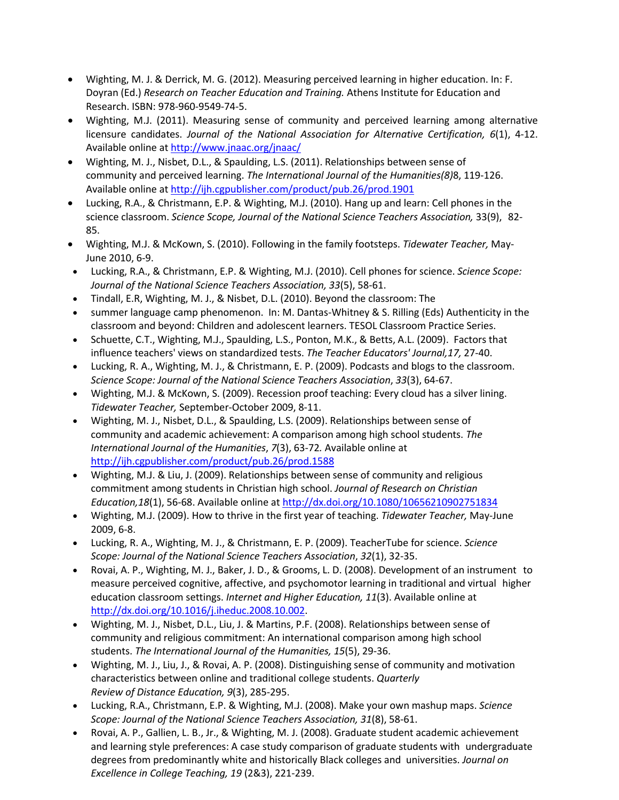- Wighting, M. J. & Derrick, M. G. (2012). Measuring perceived learning in higher education. In: F. Doyran (Ed.) *Research on Teacher Education and Training.* Athens Institute for Education and Research. ISBN: 978-960-9549-74-5.
- Wighting, M.J. (2011). Measuring sense of community and perceived learning among alternative licensure candidates. *Journal of the National Association for Alternative Certification, 6*(1), 4-12. Available online at <http://www.jnaac.org/jnaac/>
- Wighting, M. J., Nisbet, D.L., & Spaulding, L.S. (2011). Relationships between sense of community and perceived learning. *The International Journal of the Humanities(8)*8, 119-126. Available online at <http://ijh.cgpublisher.com/product/pub.26/prod.1901>
- Lucking, R.A., & Christmann, E.P. & Wighting, M.J. (2010). Hang up and learn: Cell phones in the science classroom. *Science Scope, Journal of the National Science Teachers Association,* 33(9), 82- 85.
- Wighting, M.J. & McKown, S. (2010). Following in the family footsteps. *Tidewater Teacher,* May-June 2010, 6-9.
- Lucking, R.A., & Christmann, E.P. & Wighting, M.J. (2010). Cell phones for science. *Science Scope: Journal of the National Science Teachers Association, 33*(5), 58-61.
- Tindall, E.R, Wighting, M. J., & Nisbet, D.L. (2010). Beyond the classroom: The
- summer language camp phenomenon. In: M. Dantas-Whitney & S. Rilling (Eds) Authenticity in the classroom and beyond: Children and adolescent learners. TESOL Classroom Practice Series.
- Schuette, C.T., Wighting, M.J., Spaulding, L.S., Ponton, M.K., & Betts, A.L. (2009). Factors that influence teachers' views on standardized tests. *The Teacher Educators' Journal,17,* 27-40.
- Lucking, R. A., Wighting, M. J., & Christmann, E. P. (2009). Podcasts and blogs to the classroom. *Science Scope: Journal of the National Science Teachers Association*, *33*(3), 64-67.
- Wighting, M.J. & McKown, S. (2009). Recession proof teaching: Every cloud has a silver lining. *Tidewater Teacher,* September-October 2009, 8-11.
- Wighting, M. J., Nisbet, D.L., & Spaulding, L.S. (2009). Relationships between sense of community and academic achievement: A comparison among high school students. *The International Journal of the Humanities*, *[7](http://ijh.cgpublisher.com/product/pub.26/prod.1530)*(3), 63-72*.* Available online a[t](https://owa.regent.edu/owa/redir.aspx?C=121e4b4742f249a885de61cc617d59db&URL=http%3a%2f%2fijh.cgpublisher.com%2fproduct%2fpub.26%2fprod.1588)  [http://ijh.cgpublisher.com/product/pub.26/prod.1588](https://owa.regent.edu/owa/redir.aspx?C=121e4b4742f249a885de61cc617d59db&URL=http%3a%2f%2fijh.cgpublisher.com%2fproduct%2fpub.26%2fprod.1588)
- Wighting, M.J. & Liu, J. (2009). Relationships between sense of community and religious commitment among students in Christian high school. *Journal of Research on Christian Education,18*(1), 56-68. Available online at <http://dx.doi.org/10.1080/10656210902751834>
- Wighting, M.J. (2009). How to thrive in the first year of teaching. *Tidewater Teacher,* May-June 2009, 6-8.
- Lucking, R. A., Wighting, M. J., & Christmann, E. P. (2009). TeacherTube for science. *Science Scope: Journal of the National Science Teachers Association*, *32*(1), 32-35.
- Rovai, A. P., Wighting, M. J., Baker, J. D., & Grooms, L. D. (2008). Development of an instrument to measure perceived cognitive, affective, and psychomotor learning in traditional and virtual higher education classroom settings. *Internet and Higher Education, 11*(3). Available online at [http://dx.doi.org/10.1016/j.iheduc.2008.10.002.](http://dx.doi.org/10.1016/j.iheduc.2008.10.002)
- Wighting, M. J., Nisbet, D.L., Liu, J. & Martins, P.F. (2008). Relationships between sense of community and religious commitment: An international comparison among high school students. *The International Journal of the Humanities, 15*(5), 29-36.
- Wighting, M. J., Liu, J., & Rovai, A. P. (2008). Distinguishing sense of community and motivation characteristics between online and traditional college students. *Quarterly Review of Distance Education, 9*(3), 285-295.
- Lucking, R.A., Christmann, E.P. & Wighting, M.J. (2008). Make your own mashup maps. *Science Scope: Journal of the National Science Teachers Association, 31*(8), 58-61.
- Rovai, A. P., Gallien, L. B., Jr., & Wighting, M. J. (2008). Graduate student academic achievement and learning style preferences: A case study comparison of graduate students with undergraduate degrees from predominantly white and historically Black colleges and universities. *Journal on Excellence in College Teaching, 19* (2&3), 221-239.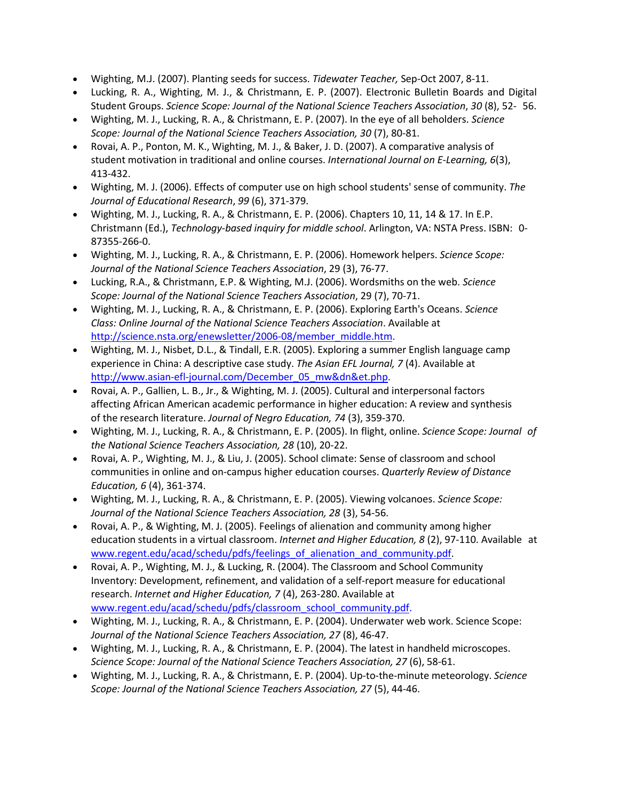- Wighting, M.J. (2007). Planting seeds for success. *Tidewater Teacher,* Sep-Oct 2007, 8-11.
- Lucking, R. A., Wighting, M. J., & Christmann, E. P. (2007). Electronic Bulletin Boards and Digital Student Groups. *Science Scope: Journal of the National Science Teachers Association*, *30* (8), 52- 56.
- Wighting, M. J., Lucking, R. A., & Christmann, E. P. (2007). In the eye of all beholders. *Science Scope: Journal of the National Science Teachers Association, 30* (7), 80-81.
- Rovai, A. P., Ponton, M. K., Wighting, M. J., & Baker, J. D. (2007). A comparative analysis of student motivation in traditional and online courses. *International Journal on E-Learning, 6*(3), 413-432.
- Wighting, M. J. (2006). Effects of computer use on high school students' sense of community. *The Journal of Educational Research*, *99* (6), 371-379.
- Wighting, M. J., Lucking, R. A., & Christmann, E. P. (2006). Chapters 10, 11, 14 & 17. In E.P. Christmann (Ed.), *Technology-based inquiry for middle school*. Arlington, VA: NSTA Press. ISBN: 0- 87355-266-0.
- Wighting, M. J., Lucking, R. A., & Christmann, E. P. (2006). Homework helpers. *Science Scope: Journal of the National Science Teachers Association*, 29 (3), 76-77.
- Lucking, R.A., & Christmann, E.P. & Wighting, M.J. (2006). Wordsmiths on the web. *Science Scope: Journal of the National Science Teachers Association*, 29 (7), 70-71.
- Wighting, M. J., Lucking, R. A., & Christmann, E. P. (2006). Exploring Earth's Oceans. *Science Class: Online Journal of the National Science Teachers Association*. Available at [http://science.nsta.org/enewsletter/2006-08/member\\_middle.htm.](http://science.nsta.org/enewsletter/2006-08/member_middle.htm)
- Wighting, M. J., Nisbet, D.L., & Tindall, E.R. (2005). Exploring a summer English language camp experience in China: A descriptive case study. *The Asian EFL Journal, 7* (4). Available at [http://www.asian-efl-journal.com/December\\_05\\_mw&dn&et.php.](http://www.asian-efl-journal.com/December_05_mw%26dn%26et.php)
- Rovai, A. P., Gallien, L. B., Jr., & Wighting, M. J. (2005). Cultural and interpersonal factors affecting African American academic performance in higher education: A review and synthesis of the research literature. *Journal of Negro Education, 74* (3), 359-370.
- Wighting, M. J., Lucking, R. A., & Christmann, E. P. (2005). In flight, online. *Science Scope: Journal of the National Science Teachers Association, 28* (10), 20-22.
- Rovai, A. P., Wighting, M. J., & Liu, J. (2005). School climate: Sense of classroom and school communities in online and on-campus higher education courses. *Quarterly Review of Distance Education, 6* (4), 361-374.
- Wighting, M. J., Lucking, R. A., & Christmann, E. P. (2005). Viewing volcanoes. *Science Scope: Journal of the National Science Teachers Association, 28* (3), 54-56.
- Rovai, A. P., & Wighting, M. J. (2005). Feelings of alienation and community among higher education students in a virtual classroom. *Internet and Higher Education, 8* (2), 97-110. Available at [www.regent.edu/acad/schedu/pdfs/feelings\\_of\\_alienation\\_and\\_community.pdf.](http://www.regent.edu/acad/schedu/pdfs/feelings_of_alienation_and_community.pdf)
- Rovai, A. P., Wighting, M. J., & Lucking, R. (2004). The Classroom and School Community Inventory: Development, refinement, and validation of a self-report measure for educational research. *Internet and Higher Education, 7* (4), 263-280. Available at [www.regent.edu/acad/schedu/pdfs/classroom\\_school\\_community.pdf.](http://www.regent.edu/acad/schedu/pdfs/classroom_school_community.pdf)
- Wighting, M. J., Lucking, R. A., & Christmann, E. P. (2004). Underwater web work. Science Scope: *Journal of the National Science Teachers Association, 27* (8), 46-47.
- Wighting, M. J., Lucking, R. A., & Christmann, E. P. (2004). The latest in handheld microscopes. *Science Scope: Journal of the National Science Teachers Association, 27* (6), 58-61.
- Wighting, M. J., Lucking, R. A., & Christmann, E. P. (2004). Up-to-the-minute meteorology. *Science Scope: Journal of the National Science Teachers Association, 27* (5), 44-46.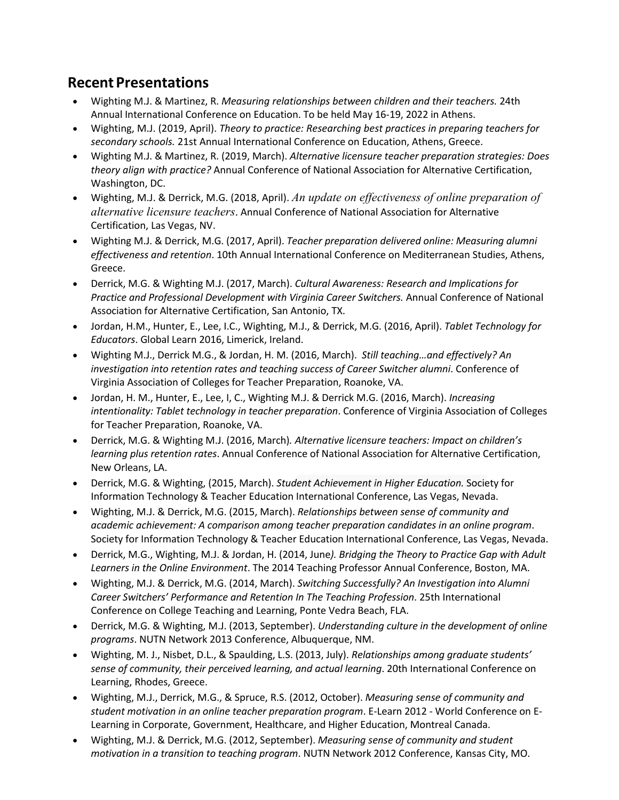# **Recent Presentations**

- Wighting M.J. & Martinez, R. *Measuring relationships between children and their teachers.* 24th Annual International Conference on Education. To be held May 16-19, 2022 in Athens.
- Wighting, M.J. (2019, April). *Theory to practice: Researching best practices in preparing teachers for secondary schools.* 21st Annual International Conference on Education, Athens, Greece.
- Wighting M.J. & Martinez, R. (2019, March). *Alternative licensure teacher preparation strategies: Does theory align with practice?* Annual Conference of National Association for Alternative Certification, Washington, DC.
- Wighting, M.J. & Derrick, M.G. (2018, April). *An update on effectiveness of online preparation of alternative licensure teachers*. Annual Conference of National Association for Alternative Certification, Las Vegas, NV.
- Wighting M.J. & Derrick, M.G. (2017, April). *Teacher preparation delivered online: Measuring alumni effectiveness and retention*. 10th Annual International Conference on Mediterranean Studies, Athens, Greece.
- Derrick, M.G. & Wighting M.J. (2017, March). *Cultural Awareness: Research and Implications for Practice and Professional Development with Virginia Career Switchers.* Annual Conference of National Association for Alternative Certification, San Antonio, TX.
- Jordan, H.M., Hunter, E., Lee, I.C., Wighting, M.J., & Derrick, M.G. (2016, April). *Tablet Technology for Educators*. Global Learn 2016, Limerick, Ireland.
- Wighting M.J., Derrick M.G., & Jordan, H. M. (2016, March). *Still teaching…and effectively? An investigation into retention rates and teaching success of Career Switcher alumni*. Conference of Virginia Association of Colleges for Teacher Preparation, Roanoke, VA.
- Jordan, H. M., Hunter, E., Lee, I, C., Wighting M.J. & Derrick M.G. (2016, March). *Increasing intentionality: Tablet technology in teacher preparation*. Conference of Virginia Association of Colleges for Teacher Preparation, Roanoke, VA.
- Derrick, M.G. & Wighting M.J. (2016, March)*. Alternative licensure teachers: Impact on children's learning plus retention rates*. Annual Conference of National Association for Alternative Certification, New Orleans, LA.
- Derrick, M.G. & Wighting, (2015, March). *Student Achievement in Higher Education.* Society for Information Technology & Teacher Education International Conference, Las Vegas, Nevada.
- Wighting, M.J. & Derrick, M.G. (2015, March). *Relationships between sense of community and academic achievement: A comparison among teacher preparation candidates in an online program*. Society for Information Technology & Teacher Education International Conference, Las Vegas, Nevada.
- Derrick, M.G., Wighting, M.J. & Jordan, H. (2014, June*). Bridging the Theory to Practice Gap with Adult Learners in the Online Environment*. The 2014 Teaching Professor Annual Conference, Boston, MA.
- Wighting, M.J. & Derrick, M.G. (2014, March). *Switching Successfully? An Investigation into Alumni Career Switchers' Performance and Retention In The Teaching Profession*. 25th International Conference on College Teaching and Learning, Ponte Vedra Beach, FLA.
- Derrick, M.G. & Wighting, M.J. (2013, September). *Understanding culture in the development of online programs*. NUTN Network 2013 Conference, Albuquerque, NM.
- Wighting, M. J., Nisbet, D.L., & Spaulding, L.S. (2013, July). *Relationships among graduate students' sense of community, their perceived learning, and actual learning*. 20th International Conference on Learning, Rhodes, Greece.
- Wighting, M.J., Derrick, M.G., & Spruce, R.S. (2012, October). *Measuring sense of community and student motivation in an online teacher preparation program*. E-Learn 2012 - World Conference on E-Learning in Corporate, Government, Healthcare, and Higher Education, Montreal Canada.
- Wighting, M.J. & Derrick, M.G. (2012, September). *Measuring sense of community and student motivation in a transition to teaching program*. NUTN Network 2012 Conference, Kansas City, MO.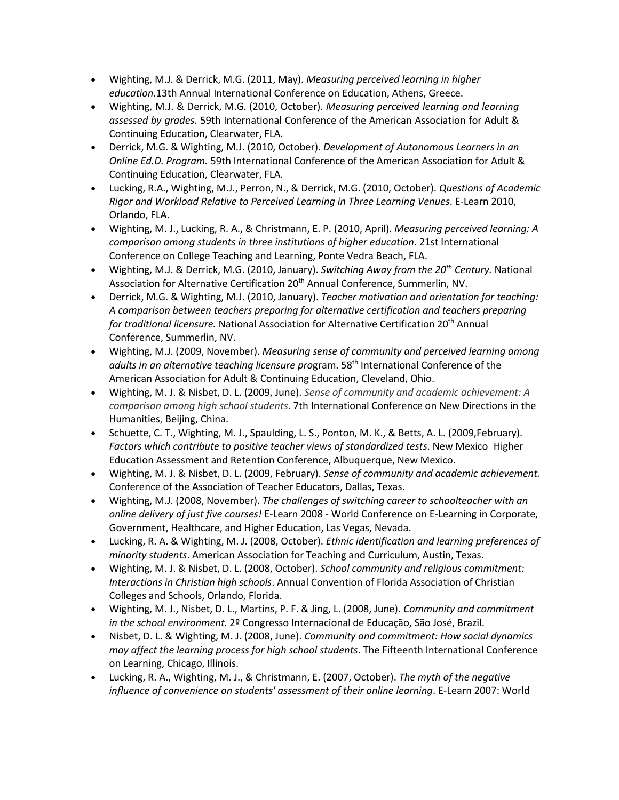- Wighting, M.J. & Derrick, M.G. (2011, May). *Measuring perceived learning in higher education.*13th Annual International Conference on Education, Athens, Greece.
- Wighting, M.J. & Derrick, M.G. (2010, October). *Measuring perceived learning and learning assessed by grades.* 59th International Conference of the American Association for Adult & Continuing Education, Clearwater, FLA.
- Derrick, M.G. & Wighting, M.J. (2010, October). *Development of Autonomous Learners in an Online Ed.D. Program.* 59th International Conference of the American Association for Adult & Continuing Education, Clearwater, FLA.
- Lucking, R.A., Wighting, M.J., Perron, N., & Derrick, M.G. (2010, October). *Questions of Academic Rigor and Workload Relative to Perceived Learning in Three Learning Venues*. E-Learn 2010, Orlando, FLA.
- Wighting, M. J., Lucking, R. A., & Christmann, E. P. (2010, April). *Measuring perceived learning: A comparison among students in three institutions of higher education*. 21st International Conference on College Teaching and Learning, Ponte Vedra Beach, FLA.
- Wighting, M.J. & Derrick, M.G. (2010, January). *Switching Away from the 20th Century.* National Association for Alternative Certification 20<sup>th</sup> Annual Conference, Summerlin, NV.
- Derrick, M.G. & Wighting, M.J. (2010, January). *Teacher motivation and orientation for teaching: A comparison between teachers preparing for alternative certification and teachers preparing for traditional licensure.* National Association for Alternative Certification 20th Annual Conference, Summerlin, NV.
- Wighting, M.J. (2009, November). *Measuring sense of community and perceived learning among adults in an alternative teaching licensure pro*gram. 58th International Conference of the American Association for Adult & Continuing Education, Cleveland, Ohio.
- Wighting, M. J. & Nisbet, D. L. (2009, June). *Sense of community and academic achievement: A comparison among high school students.* 7th International Conference on New Directions in the Humanities, Beijing, China.
- Schuette, C. T., Wighting, M. J., Spaulding, L. S., Ponton, M. K., & Betts, A. L. (2009,February). *Factors which contribute to positive teacher views of standardized tests*. New Mexico Higher Education Assessment and Retention Conference, Albuquerque, New Mexico.
- Wighting, M. J. & Nisbet, D. L. (2009, February). *Sense of community and academic achievement.* Conference of the Association of Teacher Educators, Dallas, Texas.
- Wighting, M.J. (2008, November). *The challenges of switching career to schoolteacher with an online delivery of just five courses!* E-Learn 2008 - World Conference on E-Learning in Corporate, Government, Healthcare, and Higher Education, Las Vegas, Nevada.
- Lucking, R. A. & Wighting, M. J. (2008, October). *Ethnic identification and learning preferences of minority students*. American Association for Teaching and Curriculum, Austin, Texas.
- Wighting, M. J. & Nisbet, D. L. (2008, October). *School community and religious commitment: Interactions in Christian high schools*. Annual Convention of Florida Association of Christian Colleges and Schools, Orlando, Florida.
- Wighting, M. J., Nisbet, D. L., Martins, P. F. & Jing, L. (2008, June). *Community and commitment in the school environment.* 2º Congresso Internacional de Educação, São José, Brazil.
- Nisbet, D. L. & Wighting, M. J. (2008, June). *Community and commitment: How social dynamics may affect the learning process for high school students*. The Fifteenth International Conference on Learning, Chicago, Illinois.
- Lucking, R. A., Wighting, M. J., & Christmann, E. (2007, October). *The myth of the negative influence of convenience on students' assessment of their online learning*. E-Learn 2007: World